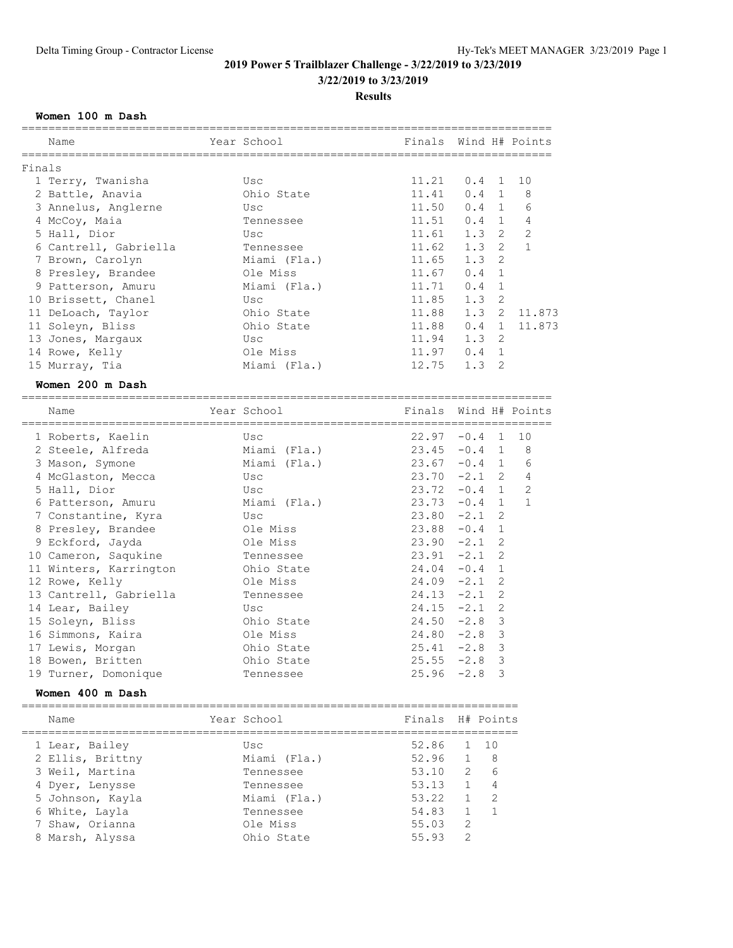**3/22/2019 to 3/23/2019**

**Results**

### **Women 100 m Dash**

|        |                        |              | ======================== |                |                |                |
|--------|------------------------|--------------|--------------------------|----------------|----------------|----------------|
|        | Name                   | Year School  | Finals                   |                |                | Wind H# Points |
| Finals |                        |              |                          |                |                |                |
|        | 1 Terry, Twanisha      | Usc          | 11.21                    | 0.4            | $\mathbf{1}$   | 10             |
|        | 2 Battle, Anavia       | Ohio State   | 11.41                    | 0.4            | $\overline{1}$ | 8              |
|        | 3 Annelus, Anglerne    | Usc          | 11.50                    | 0.4            | $\overline{1}$ | 6              |
|        | 4 McCoy, Maia          | Tennessee    | 11.51                    | 0.4            | 1              | 4              |
|        | 5 Hall, Dior           | Usc          | 11.61                    | 1.3            | 2              | 2              |
|        | 6 Cantrell, Gabriella  | Tennessee    | 11.62                    | 1.3            | $\overline{2}$ | $\mathbf{1}$   |
|        | 7 Brown, Carolyn       | Miami (Fla.) | 11.65                    | 1.3            | 2              |                |
|        | 8 Presley, Brandee     | Ole Miss     | 11.67                    | 0.4            | $\mathbf{1}$   |                |
|        | 9 Patterson, Amuru     | Miami (Fla.) | 11.71                    | 0.4            | $\sqrt{1}$     |                |
|        | 10 Brissett, Chanel    | Usc          | 11.85                    | 1.3            | 2              |                |
|        | 11 DeLoach, Taylor     | Ohio State   | 11.88                    | 1.3            | 2              | 11.873         |
|        | 11 Soleyn, Bliss       | Ohio State   | 11.88                    | 0.4            | $\mathbf{1}$   | 11.873         |
|        | 13 Jones, Margaux      | Usc          | 11.94                    | 1.3            | 2              |                |
|        | 14 Rowe, Kelly         | Ole Miss     | 11.97                    | 0.4            | $\mathbf{1}$   |                |
|        | 15 Murray, Tia         | Miami (Fla.) | 12.75                    | 1.3            | 2              |                |
|        |                        |              |                          |                |                |                |
|        | Women 200 m Dash       |              |                          |                |                |                |
|        | Name                   | Year School  | Finals                   |                |                | Wind H# Points |
|        | 1 Roberts, Kaelin      | Usc          | 22.97                    | $-0.4$         | $\mathbf{1}$   | 10             |
|        | 2 Steele, Alfreda      | Miami (Fla.) | 23.45                    | $-0.4$         | $\overline{1}$ | 8              |
|        | 3 Mason, Symone        | Miami (Fla.) | 23.67                    | $-0.4$ 1       |                | 6              |
|        | 4 McGlaston, Mecca     | Usc          | $23.70 -2.1$             |                | 2              | $\overline{4}$ |
|        | 5 Hall, Dior           | Usc          | $23.72 -0.4 1$           |                |                | $\mathbf{2}$   |
|        | 6 Patterson, Amuru     | Miami (Fla.) | 23.73                    | $-0.4$         | $\overline{1}$ | $\mathbf{1}$   |
|        | 7 Constantine, Kyra    | Usc          | 23.80                    | $-2.1$         | 2              |                |
|        | 8 Presley, Brandee     | Ole Miss     | 23.88                    | $-0.4$         | $\mathbf{1}$   |                |
|        | 9 Eckford, Jayda       | Ole Miss     | $23.90 -2.1$             |                | 2              |                |
|        | 10 Cameron, Saqukine   | Tennessee    | $23.91 -2.1$             |                | 2              |                |
|        | 11 Winters, Karrington | Ohio State   | $24.04 - 0.4$            |                | $\mathbf{1}$   |                |
|        | 12 Rowe, Kelly         | Ole Miss     | $24.09 - 2.1$            |                | $\overline{c}$ |                |
|        | 13 Cantrell, Gabriella | Tennessee    | $24.13 -2.1$             |                | 2              |                |
|        | 14 Lear, Bailey        | Usc          | 24.15                    | $-2.1$         | $\mathbf{2}$   |                |
|        | 15 Soleyn, Bliss       | Ohio State   | 24.50                    | $-2.8$         | 3              |                |
|        | 16 Simmons, Kaira      | Ole Miss     | $24.80 -2.8$             |                | 3              |                |
|        | 17 Lewis, Morgan       | Ohio State   | 25.41                    | $-2.8$         | $\mathcal{S}$  |                |
|        | 18 Bowen, Britten      | Ohio State   | $25.55 -2.8$             |                | $\mathsf 3$    |                |
|        | 19 Turner, Domonique   | Tennessee    | $25.96 -2.8$             |                | 3              |                |
|        | Women 400 m Dash       |              |                          |                |                |                |
|        |                        |              |                          |                |                |                |
|        | Name                   | Year School  | Finals                   | H# Points      |                |                |
|        | 1 Lear, Bailey         | Usc          | 52.86                    | 1              | 10             |                |
|        | 2 Ellis, Brittny       | Miami (Fla.) | 52.96                    | 1              | 8              |                |
|        | 3 Weil, Martina        | Tennessee    | 53.10                    | 2              | 6              |                |
|        | 4 Dyer, Lenysse        | Tennessee    | 53.13                    | $\mathbf{1}$   | 4              |                |
|        | 5 Johnson, Kayla       | Miami (Fla.) | 53.22                    | $\mathbf{1}$   | 2              |                |
|        | 6 White, Layla         | Tennessee    | 54.83                    | $\mathbf{1}$   | 1              |                |
| 7.     | Shaw, Orianna          | Ole Miss     | 55.03                    | 2              |                |                |
|        | 8 Marsh, Alyssa        | Ohio State   | 55.93                    | $\overline{c}$ |                |                |
|        |                        |              |                          |                |                |                |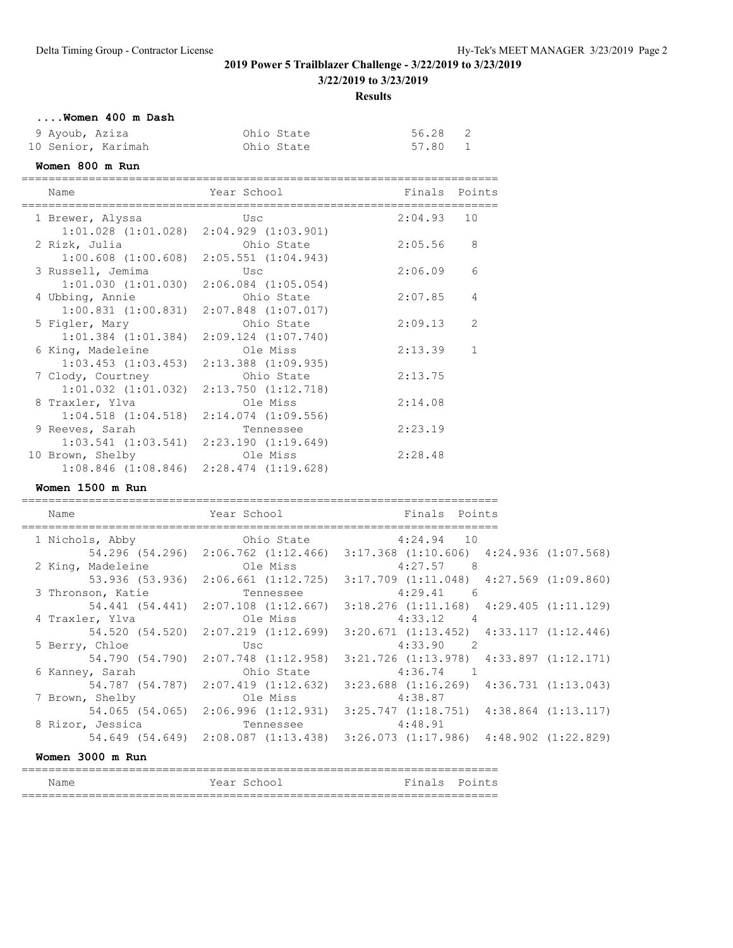**3/22/2019 to 3/23/2019**

**Results**

# **....Women 400 m Dash**

| 9 Ayoub, Aziza     | Ohio State | 56.28 2 |              |
|--------------------|------------|---------|--------------|
| 10 Senior, Karimah | Ohio State | 57.80   | $\mathbf{1}$ |

# **Women 800 m Run**

| Name                    | Year School             | Finals  | Points |
|-------------------------|-------------------------|---------|--------|
| 1 Brewer, Alyssa        | Usc                     | 2:04.93 | 10     |
| $1:01.028$ $(1:01.028)$ | $2:04.929$ $(1:03.901)$ |         |        |
| 2 Rizk, Julia           | Ohio State              | 2:05.56 | 8      |
| $1:00.608$ $(1:00.608)$ | $2:05.551$ $(1:04.943)$ |         |        |
| 3 Russell, Jemima       | Usc                     | 2:06.09 | 6      |
| $1:01.030$ $(1:01.030)$ | $2:06.084$ $(1:05.054)$ |         |        |
| 4 Ubbing, Annie         | Ohio State              | 2:07.85 | 4      |
| $1:00.831$ $(1:00.831)$ | $2:07.848$ $(1:07.017)$ |         |        |
| 5 Figler, Mary          | Ohio State              | 2:09.13 | 2      |
| $1:01.384$ $(1:01.384)$ | $2:09.124$ $(1:07.740)$ |         |        |
| 6 King, Madeleine       | Ole Miss                | 2:13.39 |        |
| $1:03.453$ $(1:03.453)$ | $2:13.388$ $(1:09.935)$ |         |        |
| 7 Clody, Courtney       | Ohio State              | 2:13.75 |        |
| $1:01.032$ $(1:01.032)$ | $2:13.750$ $(1:12.718)$ |         |        |
| 8 Traxler, Ylva         | Ole Miss                | 2:14.08 |        |
| $1:04.518$ $(1:04.518)$ | $2:14.074$ $(1:09.556)$ |         |        |
| 9 Reeves, Sarah         | Tennessee               | 2:23.19 |        |
| $1:03.541$ $(1:03.541)$ | 2:23.190(1:19.649)      |         |        |
| 10 Brown, Shelby        | Ole Miss                | 2:28.48 |        |
| $1:08.846$ $(1:08.846)$ | 2:28.474 (1:19.628)     |         |        |

### **Women 1500 m Run**

| Name                                               | Year School The Manuscript School | Finals Points                                                                               |
|----------------------------------------------------|-----------------------------------|---------------------------------------------------------------------------------------------|
| 1 Nichols, Abby                                    |                                   | Ohio State 4:24.94 10                                                                       |
|                                                    |                                   | 54.296 (54.296) 2:06.762 (1:12.466) 3:17.368 (1:10.606) 4:24.936 (1:07.568)                 |
| 2 King, Madeleine Cle Miss 4:27.57 8               |                                   |                                                                                             |
|                                                    |                                   | 53.936 (53.936) 2:06.661 (1:12.725) 3:17.709 (1:11.048) 4:27.569 (1:09.860)                 |
| 3 Thronson, Katie <b>1988</b> Tennessee 21:29.41 6 |                                   |                                                                                             |
|                                                    |                                   | $54.441$ $(54.441)$ $2:07.108$ $(1:12.667)$ $3:18.276$ $(1:11.168)$ $4:29.405$ $(1:11.129)$ |
|                                                    |                                   | $4:33.12$ 4                                                                                 |
|                                                    |                                   | 54.520 (54.520) 2:07.219 (1:12.699) 3:20.671 (1:13.452) 4:33.117 (1:12.446)                 |
| 5 Berry, Chloe Usc                                 |                                   | 4:33.90 2                                                                                   |
|                                                    |                                   | 54.790 (54.790) 2:07.748 (1:12.958) 3:21.726 (1:13.978) 4:33.897 (1:12.171)                 |
| 6 Kanney, Sarah                                    | Ohio State                        | $4:36.74$ 1                                                                                 |
|                                                    |                                   | 54.787 (54.787) 2:07.419 (1:12.632) 3:23.688 (1:16.269) 4:36.731 (1:13.043)                 |
| 7 Brown, Shelby                                    | Ole Miss                          | 4:38.87                                                                                     |
|                                                    |                                   | 54.065 (54.065) 2:06.996 (1:12.931) 3:25.747 (1:18.751) 4:38.864 (1:13.117)                 |
| 8 Rizor, Jessica and Tennessee and 4:48.91         |                                   |                                                                                             |
|                                                    |                                   | $54.649$ $(54.649)$ $2:08.087$ $(1:13.438)$ $3:26.073$ $(1:17.986)$ $4:48.902$ $(1:22.829)$ |
| Women 3000 m Run                                   |                                   |                                                                                             |

| Name | Year School | Finals Points |
|------|-------------|---------------|
|      |             |               |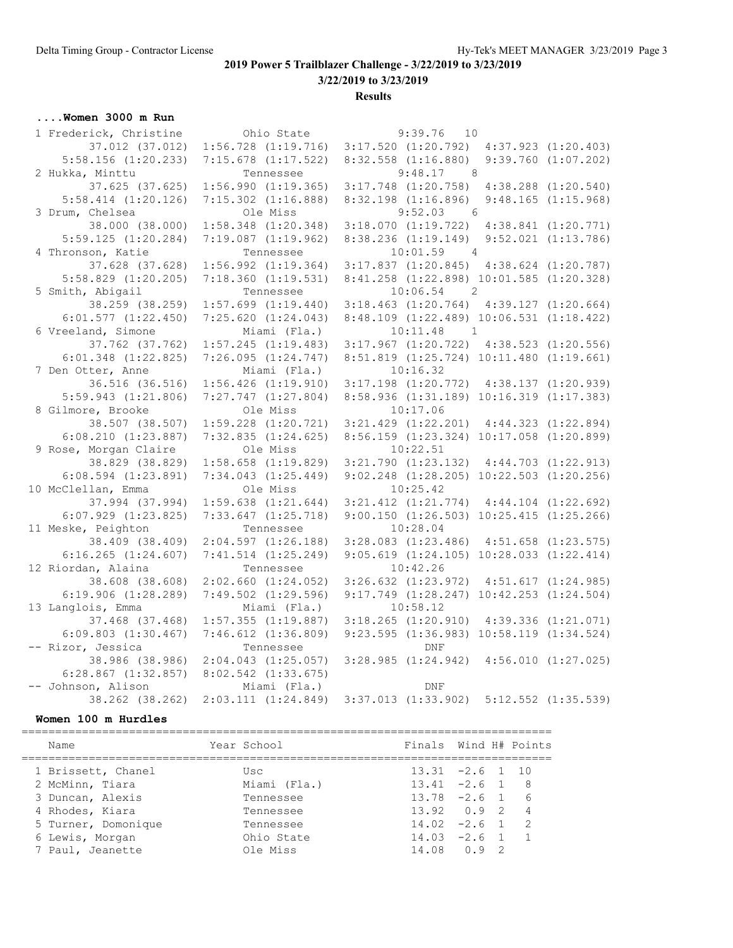**3/22/2019 to 3/23/2019**

**Results**

# **....Women 3000 m Run**

| 1 Frederick, Christine  | Ohio State              | 9:39.76<br>10                                               |                         |
|-------------------------|-------------------------|-------------------------------------------------------------|-------------------------|
| 37.012 (37.012)         | $1:56.728$ $(1:19.716)$ | 3:17.520(1:20.792)                                          | $4:37.923$ $(1:20.403)$ |
| $5:58.156$ $(1:20.233)$ | $7:15.678$ $(1:17.522)$ | $8:32.558$ $(1:16.880)$                                     | $9:39.760$ $(1:07.202)$ |
| 2 Hukka, Minttu         | Tennessee               | 9:48.17<br>8 <sup>8</sup>                                   |                         |
| 37.625 (37.625)         | 1:56.990(1:19.365)      | $3:17.748$ $(1:20.758)$                                     | $4:38.288$ $(1:20.540)$ |
| $5:58.414$ $(1:20.126)$ | $7:15.302$ $(1:16.888)$ | $8:32.198$ $(1:16.896)$                                     | $9:48.165$ $(1:15.968)$ |
| 3 Drum, Chelsea         | Ole Miss                | 9:52.03<br>$6\overline{6}$                                  |                         |
| 38.000 (38.000)         | $1:58.348$ $(1:20.348)$ | $3:18.070$ $(1:19.722)$ $4:38.841$ $(1:20.771)$             |                         |
| $5:59.125$ $(1:20.284)$ | $7:19.087$ $(1:19.962)$ | 8:38.236 (1:19.149) 9:52.021 (1:13.786)                     |                         |
| 4 Thronson, Katie       | Tennessee               | $10:01.59$ 4                                                |                         |
| 37.628 (37.628)         | $1:56.992$ $(1:19.364)$ | $3:17.837$ $(1:20.845)$ $4:38.624$ $(1:20.787)$             |                         |
| $5:58.829$ $(1:20.205)$ | 7:18.360(1:19.531)      | 8:41.258 (1:22.898) 10:01.585 (1:20.328)                    |                         |
| 5 Smith, Abigail        | Tennessee               | $10:06.54$ 2                                                |                         |
| 38.259 (38.259)         | $1:57.699$ $(1:19.440)$ | $3:18.463$ $(1:20.764)$ $4:39.127$ $(1:20.664)$             |                         |
| $6:01.577$ $(1:22.450)$ | 7:25.620(1:24.043)      | 8:48.109 (1:22.489) 10:06.531 (1:18.422)                    |                         |
| 6 Vreeland, Simone      | Miami (Fla.)            | 10:11.48<br>$\overline{1}$                                  |                         |
| 37.762 (37.762)         | $1:57.245$ $(1:19.483)$ | $3:17.967$ $(1:20.722)$ $4:38.523$ $(1:20.556)$             |                         |
| $6:01.348$ $(1:22.825)$ | 7:26.095(1:24.747)      | 8:51.819 (1:25.724) 10:11.480 (1:19.661)                    |                         |
| 7 Den Otter, Anne       | Miami (Fla.)            | 10:16.32                                                    |                         |
| 36.516 (36.516)         | $1:56.426$ $(1:19.910)$ | $3:17.198$ $(1:20.772)$ $4:38.137$ $(1:20.939)$             |                         |
| $5:59.943$ $(1:21.806)$ | $7:27.747$ $(1:27.804)$ | 8:58.936 (1:31.189) 10:16.319 (1:17.383)                    |                         |
| 8 Gilmore, Brooke       | Ole Miss                | 10:17.06                                                    |                         |
| 38.507 (38.507)         | $1:59.228$ $(1:20.721)$ | $3:21.429$ $(1:22.201)$ $4:44.323$ $(1:22.894)$             |                         |
| $6:08.210$ $(1:23.887)$ | $7:32.835$ $(1:24.625)$ | 8:56.159 (1:23.324) 10:17.058 (1:20.899)                    |                         |
| 9 Rose, Morgan Claire   | Ole Miss                | 10:22.51                                                    |                         |
| 38.829 (38.829)         | $1:58.658$ $(1:19.829)$ | $3:21.790$ $(1:23.132)$ $4:44.703$ $(1:22.913)$             |                         |
| $6:08.594$ $(1:23.891)$ | $7:34.043$ $(1:25.449)$ | $9:02.248$ $(1:28.205)$ $10:22.503$ $(1:20.256)$            |                         |
| 10 McClellan, Emma      | Ole Miss                | 10:25.42                                                    |                         |
| 37.994 (37.994)         | $1:59.638$ $(1:21.644)$ | $3:21.412$ $(1:21.774)$ $4:44.104$ $(1:22.692)$             |                         |
| $6:07.929$ $(1:23.825)$ | $7:33.647$ $(1:25.718)$ | $9:00.150$ $(1:26.503)$ $10:25.415$ $(1:25.266)$            |                         |
| 11 Meske, Peighton      | Tennessee               | 10:28.04                                                    |                         |
| 38.409 (38.409)         | 2:04.597(1:26.188)      | $3:28.083$ $(1:23.486)$                                     | $4:51.658$ $(1:23.575)$ |
| $6:16.265$ $(1:24.607)$ | $7:41.514$ $(1:25.249)$ | $9:05.619$ $(1:24.105)$ $10:28.033$ $(1:22.414)$            |                         |
| 12 Riordan, Alaina      | Tennessee               | 10:42.26                                                    |                         |
| 38.608 (38.608)         | $2:02.660$ $(1:24.052)$ | $3:26.632$ $(1:23.972)$                                     | 4:51.617(1:24.985)      |
| $6:19.906$ $(1:28.289)$ | $7:49.502$ $(1:29.596)$ | 9:17.749 (1:28.247) 10:42.253 (1:24.504)                    |                         |
| 13 Langlois, Emma       | Miami (Fla.)            | 10:58.12                                                    |                         |
| 37.468 (37.468)         | $1:57.355$ $(1:19.887)$ | $3:18.265$ $(1:20.910)$                                     | 4:39.336(1:21.071)      |
| $6:09.803$ $(1:30.467)$ | $7:46.612$ $(1:36.809)$ | $9:23.595$ $(1:36.983)$ $10:58.119$ $(1:34.524)$            |                         |
| -- Rizor, Jessica       | Tennessee               | <b>DNF</b>                                                  |                         |
| 38.986 (38.986)         | $2:04.043$ $(1:25.057)$ | 3:28.985(1:24.942)                                          | 4:56.010(1:27.025)      |
| $6:28.867$ $(1:32.857)$ | $8:02.542$ $(1:33.675)$ |                                                             |                         |
| -- Johnson, Alison      | Miami (Fla.)            | DNF                                                         |                         |
| 38.262 (38.262)         |                         | 2:03.111 (1:24.849) 3:37.013 (1:33.902) 5:12.552 (1:35.539) |                         |

### **Women 100 m Hurdles**

| Year School            |  |                                                                                                                                                                   |
|------------------------|--|-------------------------------------------------------------------------------------------------------------------------------------------------------------------|
| Usc<br>Miami (Fla.)    |  |                                                                                                                                                                   |
| Tennessee              |  |                                                                                                                                                                   |
| Tennessee              |  |                                                                                                                                                                   |
| Tennessee              |  | $\overline{2}$                                                                                                                                                    |
| Ohio State<br>Ole Miss |  |                                                                                                                                                                   |
|                        |  | Finals Wind H# Points<br>$13.31 -2.6 1 10$<br>$13.41 -2.6$ 1 8<br>$13.78 - 2.6$ 1 6<br>$13.92 \t 0.92 \t 4$<br>$14.02 -2.6$ 1<br>$14.03 -2.6$ 1<br>$14.08 \t 0.9$ |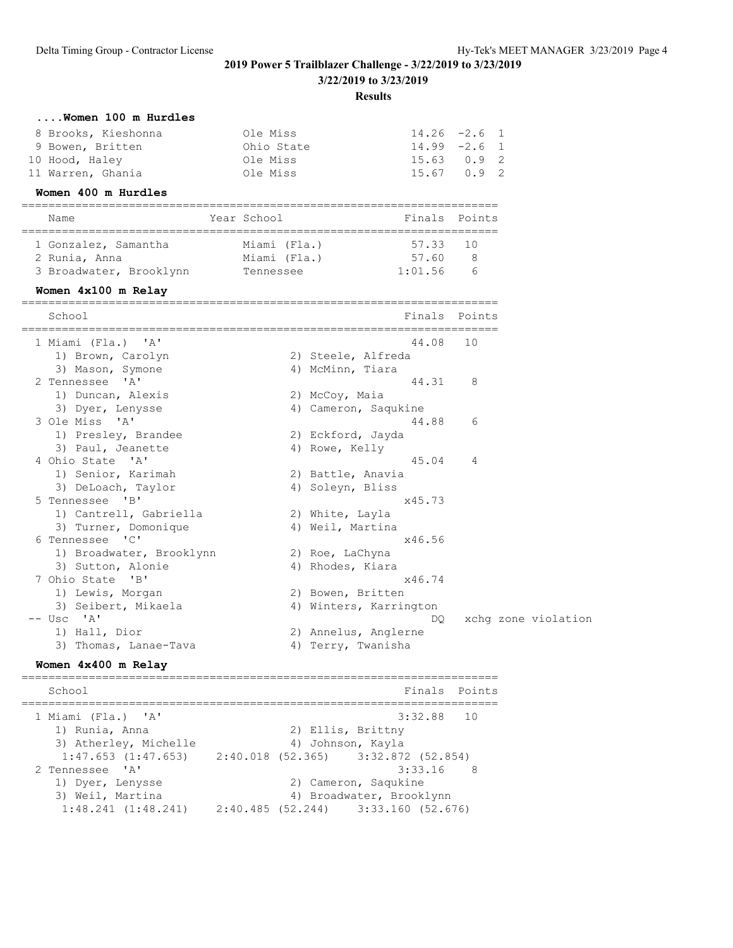**3/22/2019 to 3/23/2019**

**Results**

| Ole Miss   |  |                                                                      |
|------------|--|----------------------------------------------------------------------|
| Ohio State |  |                                                                      |
| Ole Miss   |  |                                                                      |
| Ole Miss   |  |                                                                      |
|            |  | $14.26 - 2.6$ 1<br>$14.99 - 2.6$ 1<br>$15.63$ 0.9 2<br>$15.67$ 0.9 2 |

#### **Women 400 m Hurdles**

| Name                 | Year School  | Finals Points |
|----------------------|--------------|---------------|
|                      |              |               |
| 1 Gonzalez, Samantha | Miami (Fla.) | 57.33 10      |
| 2 Runia, Anna        | Miami (Fla.) | 57 60         |

| Z Rullid, Alliid        | MIdIIII (FId.) | .01.00  |  |
|-------------------------|----------------|---------|--|
| 3 Broadwater, Brooklynn | Tennessee      | 1:01.56 |  |

### **Women 4x100 m Relay**

| School                   | Finals Points          |                |                     |
|--------------------------|------------------------|----------------|---------------------|
|                          |                        |                |                     |
| 1 Miami (Fla.) 'A'       | 44.08                  | 10             |                     |
| 1) Brown, Carolyn        | 2) Steele, Alfreda     |                |                     |
| 3) Mason, Symone         | 4) McMinn, Tiara       |                |                     |
| 2 Tennessee 'A'          | 44.31                  | 8              |                     |
| 1) Duncan, Alexis        | 2) McCoy, Maia         |                |                     |
| 3) Dyer, Lenysse         | 4) Cameron, Saqukine   |                |                     |
| 3 Ole Miss 'A'           | 44.88                  | 6              |                     |
| 1) Presley, Brandee      | 2) Eckford, Jayda      |                |                     |
| 3) Paul, Jeanette        | 4) Rowe, Kelly         |                |                     |
| 4 Ohio State 'A'         | 45.04                  | $\overline{4}$ |                     |
| 1) Senior, Karimah       | 2) Battle, Anavia      |                |                     |
| 3) DeLoach, Taylor       | 4) Soleyn, Bliss       |                |                     |
| 5 Tennessee 'B'          | x45.73                 |                |                     |
| 1) Cantrell, Gabriella   | 2) White, Layla        |                |                     |
| 3) Turner, Domonique     | 4) Weil, Martina       |                |                     |
| 6 Tennessee 'C'          | x46.56                 |                |                     |
| 1) Broadwater, Brooklynn | 2) Roe, LaChyna        |                |                     |
| 3) Sutton, Alonie        | 4) Rhodes, Kiara       |                |                     |
| 7 Ohio State 'B'         | x46.74                 |                |                     |
| 1) Lewis, Morgan         | 2) Bowen, Britten      |                |                     |
| 3) Seibert, Mikaela      | 4) Winters, Karrington |                |                     |
| $--$ Usc $'A'$           | DO.                    |                | xchq zone violation |
| 1) Hall, Dior            | 2) Annelus, Anglerne   |                |                     |
| 3) Thomas, Lanae-Tava    | 4) Terry, Twanisha     |                |                     |

#### **Women 4x400 m Relay**

======================================================================= School **Finals** Points ======================================================================= 1 Miami (Fla.) 'A' 3:32.88 10 1) Runia, Anna 2) Ellis, Brittny 3) Atherley, Michelle 4) Johnson, Kayla 1:47.653 (1:47.653) 2:40.018 (52.365) 3:32.872 (52.854) 2 Tennessee 'A' 3:33.16 8 1) Dyer, Lenysse 2) Cameron, Saqukine 3) Weil, Martina 4) Broadwater, Brooklynn 1:48.241 (1:48.241) 2:40.485 (52.244) 3:33.160 (52.676)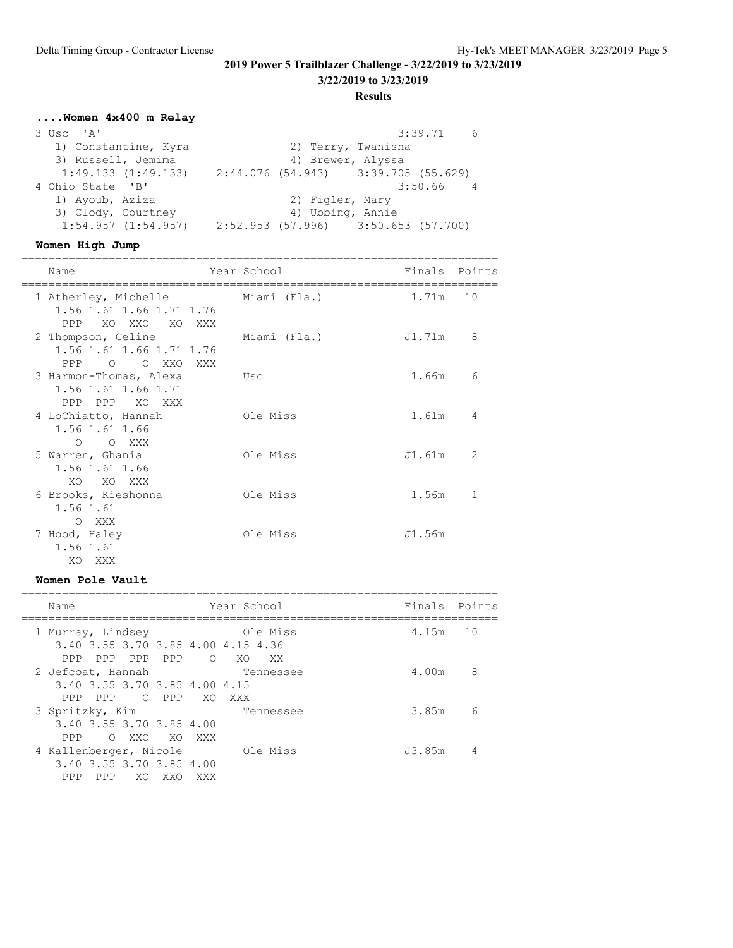**3/22/2019 to 3/23/2019**

**Results**

# **....Women 4x400 m Relay**

| 3 Usc 'A'               | 3:39.71<br>6                          |
|-------------------------|---------------------------------------|
| 1) Constantine, Kyra    | 2) Terry, Twanisha                    |
| 3) Russell, Jemima      | 4) Brewer, Alyssa                     |
| 1:49.133(1:49.133)      | $2:44.076$ (54.943) 3:39.705 (55.629) |
| 4 Ohio State 'B'        | $3:50.66$ 4                           |
| 1) Ayoub, Aziza         | 2) Figler, Mary                       |
| 3) Clody, Courtney      | 4) Ubbing, Annie                      |
| $1:54.957$ $(1:54.957)$ | $2:52.953$ (57.996) 3:50.653 (57.700) |

### **Women High Jump**

| Name                                                                             | Year School  | Finals Points |    |
|----------------------------------------------------------------------------------|--------------|---------------|----|
| 1 Atherley, Michelle<br>1.56 1.61 1.66 1.71 1.76<br>XO XXO XO XXX<br>PPP         | Miami (Fla.) | 1.71m         | 10 |
| 2 Thompson, Celine<br>1.56 1.61 1.66 1.71 1.76<br>$\bigcirc$<br>O XXO XXX<br>PPP | Miami (Fla.) | J1.71m        | 8  |
| 3 Harmon-Thomas, Alexa<br>1.56 1.61 1.66 1.71<br>PPP PPP<br>XO XXX               | Usc          | 1.66m         | 6  |
| 4 LoChiatto, Hannah<br>1.56 1.61 1.66<br>$O$ $O$ XXX                             | Ole Miss     | 1.61m         | 4  |
| 5 Warren, Ghania<br>1.56 1.61 1.66<br>XO XO XXX                                  | Ole Miss     | J1.61m        | 2  |
| 6 Brooks, Kieshonna<br>1.56 1.61<br>XXX<br>$\circ$                               | Ole Miss     | 1.56m         | 1  |
| 7 Hood, Haley<br>1.56 1.61<br>XO<br>XXX                                          | Ole Miss     | J1.56m        |    |

## **Women Pole Vault**

| Name                                                                                                            | Year School            | Finals Points |    |
|-----------------------------------------------------------------------------------------------------------------|------------------------|---------------|----|
| 1 Murray, Lindsey<br>3.40 3.55 3.70 3.85 4.00 4.15 4.36                                                         | Ole Miss               | 4.15m         | 10 |
| PPP<br>PPP<br>PPP<br>$\circ$<br>PPP.<br>2 Jefcoat, Hannah<br>3.40 3.55 3.70 3.85 4.00 4.15                      | XO.<br>XX<br>Tennessee | 4.00m         | 8  |
| PPP<br>PPP<br>$\bigcirc$<br>PPP<br>XO.<br>XXX<br>3 Spritzky, Kim<br>3.40 3.55 3.70 3.85 4.00                    | Tennessee              | 3.85m         | 6  |
| O XXO<br>XO XXX<br>PPP<br>4 Kallenberger, Nicole<br>3.40 3.55 3.70 3.85 4.00<br>PPP<br>PPP<br>XO.<br>XXO<br>XXX | Ole Miss               | J3.85m        | 4  |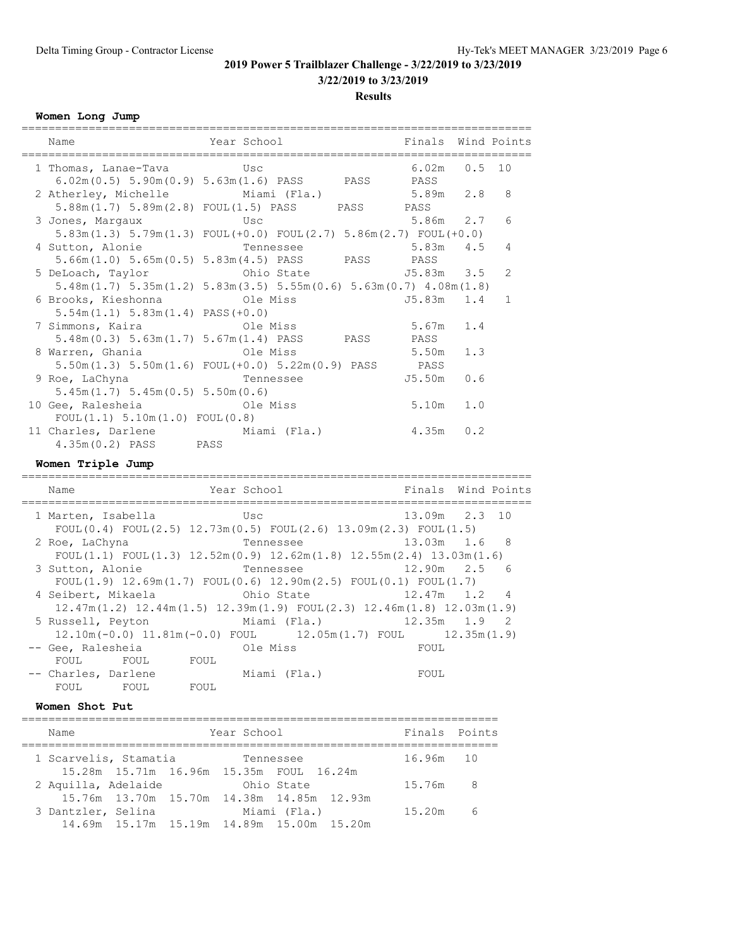**3/22/2019 to 3/23/2019**

**Results**

#### **Women Long Jump**

| Name                                                                                   | Year School Tinals Wind Points                                                                                                                 |                |              |
|----------------------------------------------------------------------------------------|------------------------------------------------------------------------------------------------------------------------------------------------|----------------|--------------|
| 1 Thomas, Lanae-Tava Usc                                                               |                                                                                                                                                | $6.02m$ 0.5 10 |              |
| $6.02m(0.5) 5.90m(0.9) 5.63m(1.6) PASS$ PASS PASS<br>2 Atherley, Michelle Miami (Fla.) |                                                                                                                                                | $5.89m$ $2.8$  | 8            |
| 5.88m(1.7) 5.89m(2.8) FOUL(1.5) PASS PASS PASS<br>3 Jones, Margaux CSC                 |                                                                                                                                                | 5.86m 2.7      | 6            |
| $5.83m(1.3)$ $5.79m(1.3)$ $FOUL(+0.0)$ $FOUL(2.7)$ $5.86m(2.7)$ $FOUL(+0.0)$           |                                                                                                                                                |                |              |
| 4 Sutton, Alonie<br>5.66m(1.0) 5.65m(0.5) 5.83m(4.5) PASS PASS PASS                    | Tennessee 5.83m 4.5                                                                                                                            |                | 4            |
|                                                                                        |                                                                                                                                                |                | 2            |
| $5.48m(1.7)$ $5.35m(1.2)$ $5.83m(3.5)$ $5.55m(0.6)$ $5.63m(0.7)$ $4.08m(1.8)$          |                                                                                                                                                |                |              |
| 6 Brooks, Kieshonna Cle Miss                                                           |                                                                                                                                                | J5.83m 1.4     | $\mathbf{1}$ |
| $5.54m(1.1) 5.83m(1.4) PASS(+0.0)$                                                     |                                                                                                                                                |                |              |
|                                                                                        |                                                                                                                                                | $5.67m$ 1.4    |              |
| 5.48m(0.3) 5.63m(1.7) 5.67m(1.4) PASS PASS PASS                                        |                                                                                                                                                |                |              |
| 8 Warren, Ghania                                                                       | Ole Miss                                                                                                                                       | $5.50m$ 1.3    |              |
| 5.50m(1.3) 5.50m(1.6) FOUL(+0.0) 5.22m(0.9) PASS PASS                                  |                                                                                                                                                |                |              |
| 9 Roe, LaChyna Tennessee                                                               |                                                                                                                                                | $J5.50m$ 0.6   |              |
| 5.45m(1.7) 5.45m(0.5) 5.50m(0.6)                                                       |                                                                                                                                                |                |              |
| 10 Gee, Ralesheia and Ole Miss                                                         |                                                                                                                                                | $5.10m$ $1.0$  |              |
| FOUL(1.1) 5.10m(1.0) FOUL(0.8)                                                         |                                                                                                                                                |                |              |
| 11 Charles, Darlene Miami (Fla.) 4.35m 0.2                                             |                                                                                                                                                |                |              |
| 4.35m (0.2) PASS PASS                                                                  |                                                                                                                                                |                |              |
| Women Triple Jump                                                                      |                                                                                                                                                |                |              |
| Name                                                                                   | Year School <a> Finals Wind Points</a> Sear Sear Sear Sear Sear Sear Sear Sear Sear Sear Sear Sear Sear Sear Sear Sear Sear Sear Sear Sear Sea |                |              |
| 1 Marten, Isabella Usc                                                                 |                                                                                                                                                | 13.09m 2.3 10  |              |
| FOUL $(0.4)$ FOUL $(2.5)$ 12.73m $(0.5)$ FOUL $(2.6)$ 13.09m $(2.3)$ FOUL $(1.5)$      |                                                                                                                                                |                |              |
| 2 Roe, LaChyna               Tennessee             13.03m   1.6   8                    |                                                                                                                                                |                |              |
| FOUL(1.1) FOUL(1.3) $12.52m(0.9)$ $12.62m(1.8)$ $12.55m(2.4)$ $13.03m(1.6)$            |                                                                                                                                                |                |              |
| 3 Sutton, Alonie             Tennessee             12.90m   2.5   6                    |                                                                                                                                                |                |              |
| $FOUT(1.9) 12.69m(1.7) FOUT(0.6) 12.90m(2.5) FOUT(0.1) FOUT(1.7)$                      |                                                                                                                                                |                |              |

|                     |             | FOUL $(1.9)$ 12.69m $(1.7)$ FOUL $(0.6)$ 12.90m $(2.5)$ FOUL $(0.1)$ FOUL $(1.7)$   |      |  |
|---------------------|-------------|-------------------------------------------------------------------------------------|------|--|
| 4 Seibert, Mikaela  |             | Ohio State 12.47m 1.2 4                                                             |      |  |
|                     |             | $12.47m(1.2)$ $12.44m(1.5)$ $12.39m(1.9)$ FOUL $(2.3)$ $12.46m(1.8)$ $12.03m(1.9)$  |      |  |
|                     |             | 5 Russell, Peyton Miami (Fla.) 12.35m 1.9 2                                         |      |  |
|                     |             | $12.10$ m $(-0.0)$ $11.81$ m $(-0.0)$ FOUL $12.05$ m $(1.7)$ FOUL $12.35$ m $(1.9)$ |      |  |
| -- Gee, Ralesheia   | nd Ole Miss |                                                                                     | FOUL |  |
| FOUL FOUL           | FOUL        |                                                                                     |      |  |
| -- Charles, Darlene |             | Miami (Fla.)                                                                        | FOUL |  |

#### **Women Shot Put**

FOUL FOUL FOUL

| Name                  | Year School                                           | Finals Points |   |
|-----------------------|-------------------------------------------------------|---------------|---|
| 1 Scarvelis, Stamatia | Tennessee                                             | 16.96m 10     |   |
|                       | 15.28m 15.71m 16.96m 15.35m FOUL 16.24m<br>Ohio State | 15.76m 8      |   |
| 2 Aquilla, Adelaide   | 15.76m 13.70m 15.70m 14.38m 14.85m 12.93m             |               |   |
| 3 Dantzler, Selina    | Miami (Fla.)                                          | 15.20m        | 6 |
|                       | 14.69m 15.17m 15.19m 14.89m 15.00m 15.20m             |               |   |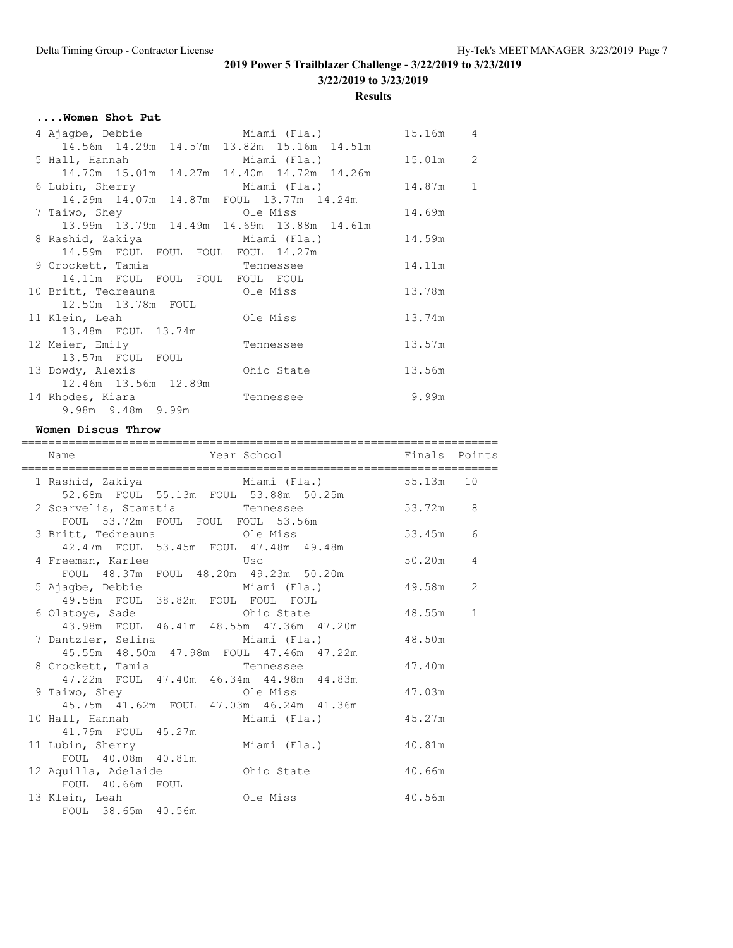**3/22/2019 to 3/23/2019**

**Results**

# **....Women Shot Put**

| 4 Ajagbe, Debbie                         Miami (Fla.)                    |                     | 15.16m 4 |  |
|--------------------------------------------------------------------------|---------------------|----------|--|
| 14.56m  14.29m  14.57m  13.82m  15.16m  14.51m                           |                     |          |  |
| 5 Hall, Hannah                 Miami (Fla.)           15.01m   2         |                     |          |  |
| 14.70m  15.01m  14.27m  14.40m  14.72m  14.26m                           |                     |          |  |
| 6 Lubin, Sherry Miami (Fla.) 14.87m 1                                    |                     |          |  |
| 14.29m  14.07m  14.87m  FOUL  13.77m  14.24m                             |                     |          |  |
|                                                                          |                     | 14.69m   |  |
| 13.99m 13.79m 14.49m 14.69m 13.88m 14.61m                                |                     |          |  |
| 8 Rashid, Zakiya                       Miami (Fla.)               14.59m |                     |          |  |
| 14.59m FOUL FOUL FOUL FOUL 14.27m                                        |                     |          |  |
| 9 Crockett, Tamia Tennessee                                              |                     | 14.11m   |  |
| 14.11m FOUL FOUL FOUL FOUL FOUL                                          |                     |          |  |
| 10 Britt, Tedreauna ble Miss                                             |                     | 13.78m   |  |
| 12.50m  13.78m  FOUL                                                     |                     |          |  |
|                                                                          |                     | 13.74m   |  |
| 13.48m FOUL 13.74m                                                       |                     |          |  |
| 12 Meier, Emily                                                          | 13.57m<br>Tennessee |          |  |
| 13.57m FOUL FOUL                                                         |                     |          |  |
| 13 Dowdy, Alexis                                                         | Ohio State          | 13.56m   |  |
| 12.46m 13.56m 12.89m                                                     |                     |          |  |
| 14 Rhodes, Kiara                                                         | Tennessee           | 9.99m    |  |
| 9.98m 9.48m 9.99m                                                        |                     |          |  |

#### **Women Discus Throw**

| Name                                                                                                            |          |   |
|-----------------------------------------------------------------------------------------------------------------|----------|---|
| 1 Rashid, Zakiya               Miami (Fla.)           55.13m   10<br>52.68m  FOUL  55.13m  FOUL  53.88m  50.25m |          |   |
| 2 Scarvelis, Stamatia and Tennessee 53.72m 8<br>FOUL 53.72m FOUL FOUL FOUL 53.56m                               |          |   |
| 3 Britt, Tedreauna Cle Miss<br>42.47m FOUL 53.45m FOUL 47.48m 49.48m                                            | 53.45m 6 |   |
| 4 Freeman, Karlee Musc<br>FOUL 48.37m FOUL 48.20m 49.23m 50.20m                                                 | 50.20m   | 4 |
| 5 Ajagbe, Debbie $Miami$ (Fla.) 49.58m 2<br>49.58m FOUL 38.82m FOUL FOUL FOUL                                   |          |   |
| 6 Olatoye, Sade Chio State<br>43.98m FOUL 46.41m 48.55m 47.36m 47.20m                                           | 48.55m   | 1 |
| 7 Dantzler, Selina (Ela.) 48.50m<br>45.55m 48.50m 47.98m FOUL 47.46m 47.22m                                     |          |   |
| 8 Crockett, Tamia Tennessee<br>47.22m FOUL 47.40m 46.34m 44.98m 44.83m                                          | 47.40m   |   |
| 9 Taiwo, Shey Cle Miss<br>45.75m  41.62m  FOUL  47.03m  46.24m  41.36m                                          | 47.03m   |   |
| 10 Hall, Hannah Miami (Fla.)<br>41.79m FOUL 45.27m                                                              | 45.27m   |   |
| 11 Lubin, Sherry Miami (Fla.)<br>FOUL 40.08m 40.81m                                                             | 40.81m   |   |
|                                                                                                                 | 40.66m   |   |
| FOUL 40.66m FOUL<br>13 Klein, Leah and Ole Miss<br>FOUL 38.65m 40.56m                                           | 40.56m   |   |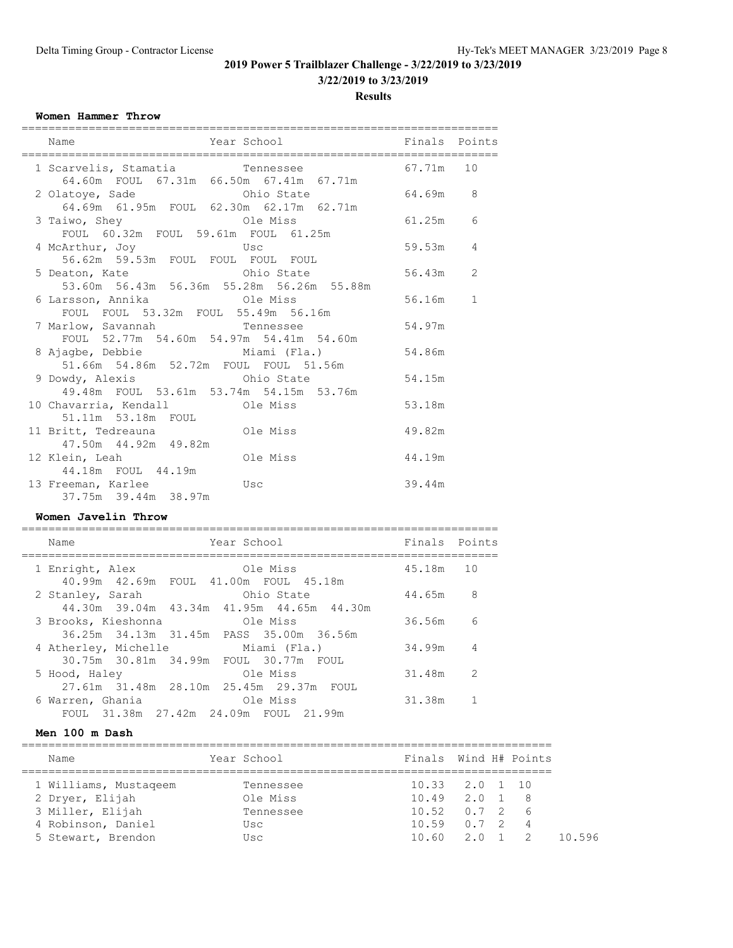**3/22/2019 to 3/23/2019**

**Results**

#### **Women Hammer Throw**

| Name                                                                                          | Year School <a> Finals Points</a> Finals Points |          |              |
|-----------------------------------------------------------------------------------------------|-------------------------------------------------|----------|--------------|
| 1 Scarvelis, Stamatia and Tennessee 37.71m 10<br>64.60m  FOUL  67.31m  66.50m  67.41m  67.71m |                                                 |          |              |
| 2 Olatoye, Sade Chio State 64.69m 8<br>64.69m  61.95m  FOUL  62.30m  62.17m  62.71m           |                                                 |          |              |
| FOUL 60.32m FOUL 59.61m FOUL 61.25m                                                           |                                                 |          |              |
| 4 McArthur, Joy Usc<br>56.62m 59.53m FOUL FOUL FOUL FOUL                                      |                                                 | 59.53m   | 4            |
| 5 Deaton, Kate<br>53.60m 56.43m 56.36m 55.28m 56.26m 55.88m                                   |                                                 | 56.43m 2 |              |
| FOUL FOUL 53.32m FOUL 55.49m 56.16m                                                           |                                                 | 56.16m   | $\mathbf{1}$ |
| 7 Marlow, Savannah Marlo Tennessee<br>FOUL 52.77m 54.60m 54.97m 54.41m 54.60m                 |                                                 | 54.97m   |              |
| 8 Ajagbe, Debbie Miami (Fla.) 54.86m<br>51.66m  54.86m  52.72m  FOUL  FOUL  51.56m            |                                                 |          |              |
| 9 Dowdy, Alexis Ohio State<br>49.48m FOUL 53.61m 53.74m 54.15m 53.76m                         |                                                 | 54.15m   |              |
| 51.11m 53.18m FOUL                                                                            |                                                 | 53.18m   |              |
| 11 Britt, Tedreauna ble Miss<br>47.50m  44.92m  49.82m                                        |                                                 | 49.82m   |              |
| 12 Klein, Leah and Ole Miss                                                                   |                                                 | 44.19m   |              |
| 44.18m  FOUL  44.19m<br>13 Freeman, Karlee <b>13 Usc</b><br>37.75m 39.44m 38.97m              |                                                 | 39.44m   |              |

#### **Women Javelin Throw**

| Name                                                   | Year School                                             | Finals Points |                |
|--------------------------------------------------------|---------------------------------------------------------|---------------|----------------|
| 1 Enright, Alex                                        | Ole Miss                                                | 45.18m        | 10             |
| 40.99m  42.69m  FOUL  41.00m  FOUL  45.18m             |                                                         |               |                |
| 2 Stanley, Sarah                                       | Ohio State<br>44.30m 39.04m 43.34m 41.95m 44.65m 44.30m | 44.65m        | 8              |
| 3 Brooks, Kieshonna                                    | Ole Miss                                                | 36.56m        | 6              |
| 36.25m 34.13m 31.45m PASS 35.00m 36.56m                |                                                         |               |                |
| 4 Atherley, Michelle Miami (Fla.)                      |                                                         | 34.99m        | $\overline{4}$ |
| 30.75m 30.81m 34.99m FOUL 30.77m FOUL<br>5 Hood, Haley | Ole Miss                                                | 31.48m        | 2              |
| 27.61m 31.48m 28.10m 25.45m 29.37m FOUL                |                                                         |               |                |
| 6 Warren, Ghania                                       | Ole Miss                                                | 31.38m        |                |
| FOUL 31.38m 27.42m 24.09m FOUL 21.99m                  |                                                         |               |                |

#### **Men 100 m Dash**

| Name                  | Year School |                        | Finals Wind H# Points |       |
|-----------------------|-------------|------------------------|-----------------------|-------|
| 1 Williams, Mustageem | Tennessee   | $10.33$ $2.0$ $1$ $10$ |                       |       |
| 2 Dryer, Elijah       | Ole Miss    | $10.49$ $2.0$ 1        | - 8                   |       |
| 3 Miller, Elijah      | Tennessee   | $10.52$ $0.7$ 2 6      |                       |       |
| 4 Robinson, Daniel    | Usc         | $10.59$ $0.7$ 2        | $\overline{4}$        |       |
| 5 Stewart, Brendon    | Usc         |                        | $10.60$ $2.0$ $1$ $2$ | 10596 |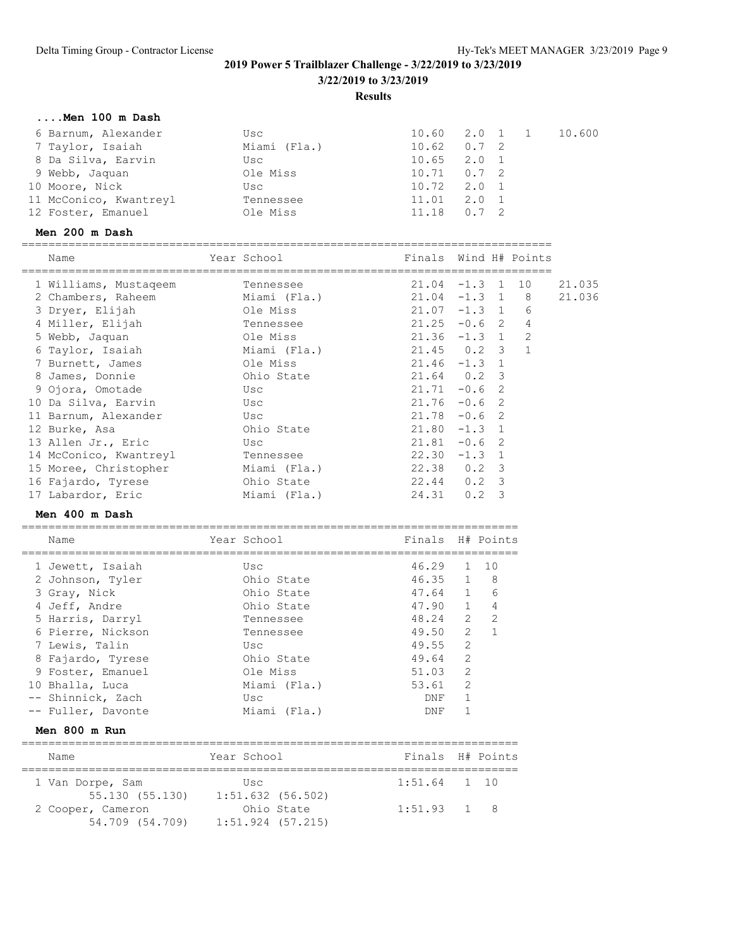# **2019 Power 5 Trailblazer Challenge - 3/22/2019 to 3/23/2019 3/22/2019 to 3/23/2019**

**Results**

# **....Men 100 m Dash**

| 6 Barnum, Alexander    | Usc          |                 |  | 10.60 2.0 1 1 10.600 |
|------------------------|--------------|-----------------|--|----------------------|
| 7 Taylor, Isaiah       | Miami (Fla.) | $10.62$ $0.7$ 2 |  |                      |
| 8 Da Silva, Earvin     | Usc          | $10.65$ $2.0$ 1 |  |                      |
| 9 Webb, Jaquan         | Ole Miss     | $10.71$ 0.7 2   |  |                      |
| 10 Moore, Nick         | Usc          | $10.72$ $2.0$ 1 |  |                      |
| 11 McConico, Kwantreyl | Tennessee    | $11.01$ $2.0$ 1 |  |                      |
| 12 Foster, Emanuel     | Ole Miss     | $11.18$ 0.7 2   |  |                      |

### **Men 200 m Dash**

| Name                                |     | Year School  | Finals Wind H# Points |           |   |                |        |
|-------------------------------------|-----|--------------|-----------------------|-----------|---|----------------|--------|
| 1 Williams, Mustageem               |     | Tennessee    | $21.04 -1.3 1 10$     |           |   |                | 21.035 |
| 2 Chambers, Raheem                  |     | Miami (Fla.) | $21.04$ $-1.3$ 1 8    |           |   |                | 21.036 |
| 3 Dryer, Elijah                     |     | Ole Miss     | $21.07 - 1.3 1$       |           |   | 6              |        |
| 4 Miller, Elijah                    |     | Tennessee    | $21.25 -0.6$ 2        |           |   | $\overline{4}$ |        |
| 5 Webb, Jaquan                      |     | Ole Miss     | $21.36 -1.3 1 2$      |           |   |                |        |
| 6 Taylor, Isaiah                    |     | Miami (Fla.) | 21.45 0.2 3 1         |           |   |                |        |
| 7 Burnett, James                    |     | Ole Miss     | $21.46 - 1.3$ 1       |           |   |                |        |
| 8 James, Donnie                     |     | Ohio State   | $21.64$ 0.2 3         |           |   |                |        |
| 9 Ojora, Omotade                    |     | Usc          | $21.71 - 0.6$ 2       |           |   |                |        |
| 10 Da Silva, Earvin                 | Usc |              | $21.76 - 0.6$         |           | 2 |                |        |
| 11 Barnum, Alexander<br>and the Usc |     |              | $21.78 - 0.6$ 2       |           |   |                |        |
| 12 Burke, Asa                       |     | Ohio State   | $21.80 -1.3 1$        |           |   |                |        |
| 13 Allen Jr., Eric                  |     | Usc          | $21.81 - 0.6$         |           | 2 |                |        |
| 14 McConico, Kwantreyl Tennessee    |     |              | $22.30 -1.3$ 1        |           |   |                |        |
| 15 Moree, Christopher Miami (Fla.)  |     |              | 22.38 0.2 3           |           |   |                |        |
| 16 Fajardo, Tyrese                  |     | Ohio State   | 22.44 0.2 3           |           |   |                |        |
| 17 Labardor, Eric                   |     | Miami (Fla.) | 24.31 0.2 3           |           |   |                |        |
| Men 400 m Dash                      |     |              |                       |           |   |                |        |
| Name                                |     | Year School  | Finals                | H# Points |   |                |        |

| Men 800 m Run      |              |     |                |                                                                                                      |
|--------------------|--------------|-----|----------------|------------------------------------------------------------------------------------------------------|
| -- Fuller, Davonte | Miami (Fla.) | DNF |                |                                                                                                      |
| -- Shinnick, Zach  | Usc          | DNF | 1              |                                                                                                      |
| 10 Bhalla, Luca    | Miami (Fla.) |     | $\overline{2}$ |                                                                                                      |
| 9 Foster, Emanuel  | Ole Miss     |     | 2              |                                                                                                      |
| 8 Fajardo, Tyrese  | Ohio State   |     | $\overline{2}$ |                                                                                                      |
| 7 Lewis, Talin     | Usc          |     | $\overline{2}$ |                                                                                                      |
| 6 Pierre, Nickson  | Tennessee    |     | 2              |                                                                                                      |
| 5 Harris, Darryl   | Tennessee    |     | 2              | $\mathcal{P}$                                                                                        |
| 4 Jeff, Andre      | Ohio State   |     |                | $\overline{4}$                                                                                       |
| 3 Gray, Nick       | Ohio State   |     | $\mathbf{1}$   | 6                                                                                                    |
| 2 Johnson, Tyler   | Ohio State   |     |                |                                                                                                      |
| 1 Jewett, Isaiah   | Usc          |     |                | $1 \quad 10$                                                                                         |
|                    |              |     |                | 46.29<br>46.35 1 8<br>47.64<br>$47.90 \quad 1$<br>48.24<br>49.50<br>49.55<br>49.64<br>51.03<br>53.61 |

| <b>IVALUE</b>     | TAGIT DAINAT        |            | Filials fitt follits |  |
|-------------------|---------------------|------------|----------------------|--|
| 1 Van Dorpe, Sam  | Usc                 |            | $1:51.64$ 1 10       |  |
| 55.130 (55.130)   | $1:51.632$ (56.502) |            |                      |  |
| 2 Cooper, Cameron |                     | Ohio State | $1:51.93$ 1 8        |  |
| 54.709 (54.709)   | $1:51.924$ (57.215) |            |                      |  |
|                   |                     |            |                      |  |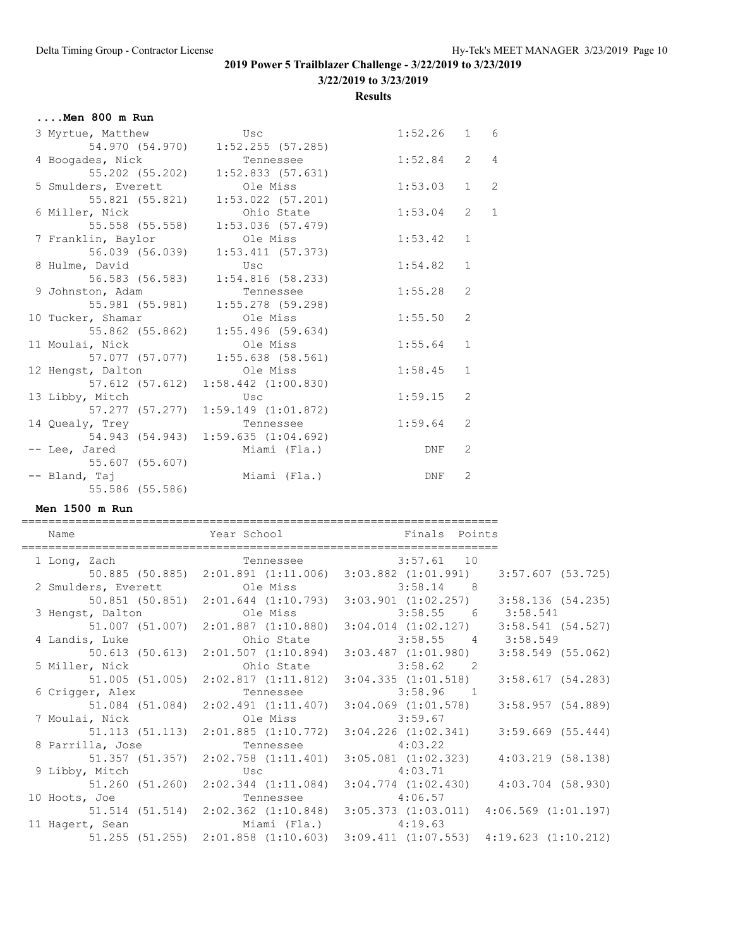**3/22/2019 to 3/23/2019**

**Results**

# **....Men 800 m Run**

| 3 Myrtue, Matthew            | Usc                                 | 1:52.26 | $\mathbf{1}$   | - 6            |
|------------------------------|-------------------------------------|---------|----------------|----------------|
|                              | 54.970 (54.970) 1:52.255 (57.285)   |         |                |                |
| 4 Boogades, Nick             | Tennessee                           | 1:52.84 | $\overline{2}$ | $\overline{4}$ |
| 55.202 (55.202)              | $1:52.833$ (57.631)                 |         |                |                |
| 5 Smulders, Everett Cle Miss |                                     | 1:53.03 | $\mathbf{1}$   | $\overline{c}$ |
| 55.821 (55.821)              | $1:53.022$ (57.201)                 |         |                |                |
| 6 Miller, Nick               | Ohio State                          | 1:53.04 | $\overline{2}$ | $\mathbf 1$    |
| 55.558 (55.558)              | $1:53.036$ $(57.479)$               |         |                |                |
| 7 Franklin, Baylor           | Ole Miss                            | 1:53.42 | $\mathbf{1}$   |                |
| 56.039 (56.039)              | 1:53.411(57.373)                    |         |                |                |
| 8 Hulme, David               | Usc                                 | 1:54.82 | $\mathbf{1}$   |                |
| 56.583 (56.583)              | 1:54.816(58.233)                    |         |                |                |
| 9 Johnston, Adam             | Tennessee                           | 1:55.28 | 2              |                |
|                              | 55.981 (55.981) 1:55.278 (59.298)   |         |                |                |
| 10 Tucker, Shamar            | Ole Miss                            | 1:55.50 | 2              |                |
|                              | 55.862 (55.862) 1:55.496 (59.634)   |         |                |                |
| 11 Moulai, Nick              | Ole Miss                            | 1:55.64 | $\mathbf 1$    |                |
|                              |                                     |         |                |                |
| 12 Hengst, Dalton            | Ole Miss                            | 1:58.45 | $\mathbf 1$    |                |
|                              | 57.612 (57.612) 1:58.442 (1:00.830) |         |                |                |
| 13 Libby, Mitch              | Usc                                 | 1:59.15 | 2              |                |
|                              | 57.277 (57.277) 1:59.149 (1:01.872) |         |                |                |
| 14 Quealy, Trey              | Tennessee                           | 1:59.64 | 2              |                |
|                              | 54.943 (54.943) 1:59.635 (1:04.692) |         |                |                |
| -- Lee, Jared                | Miami (Fla.)                        | DNF     | 2              |                |
| 55.607 (55.607)              |                                     |         |                |                |
| -- Bland, Taj                | Miami (Fla.)                        | DNF     | 2              |                |
| 55.586 (55.586)              |                                     |         |                |                |

#### **Men 1500 m Run**

| Name                                                          |                      | Year School <b>Finals</b> Points                                                    |                     |
|---------------------------------------------------------------|----------------------|-------------------------------------------------------------------------------------|---------------------|
| 1 Long, Zach Tennessee 3:57.61 10                             |                      |                                                                                     |                     |
|                                                               |                      | 50.885 (50.885) 2:01.891 (1:11.006) 3:03.882 (1:01.991)                             | 3:57.607 (53.725)   |
| 2 Smulders, Everett Cle Miss 3:58.14 8                        |                      |                                                                                     |                     |
|                                                               |                      | $50.851$ (50.851) $2:01.644$ (1:10.793) $3:03.901$ (1:02.257) $3:58.136$ (54.235)   |                     |
| 3 Hengst, Dalton <b>31.58.541</b> Ole Miss 3:58.55 6 3:58.541 |                      |                                                                                     |                     |
|                                                               |                      | $51.007$ (51.007) $2:01.887$ (1:10.880) $3:04.014$ (1:02.127) $3:58.541$ (54.527)   |                     |
|                                                               |                      |                                                                                     |                     |
|                                                               |                      | $50.613$ (50.613) $2:01.507$ (1:10.894) $3:03.487$ (1:01.980)                       | $3:58.549$ (55.062) |
|                                                               |                      |                                                                                     |                     |
|                                                               |                      | $51.005$ (51.005) $2:02.817$ (1:11.812) $3:04.335$ (1:01.518)                       | 3:58.617(54.283)    |
| 6 Crigger, Alex                                               |                      | Tennessee 3:58.96 1                                                                 |                     |
|                                                               |                      | 51.084 (51.084) 2:02.491 (1:11.407) 3:04.069 (1:01.578)                             | 3:58.957(54.889)    |
| 7 Moulai, Nick Cole Miss 3:59.67                              |                      |                                                                                     |                     |
|                                                               |                      | $51.113$ (51.113) $2:01.885$ (1:10.772) $3:04.226$ (1:02.341)                       | $3:59.669$ (55.444) |
| 8 Parrilla, Jose Channessee 2:03.22                           |                      |                                                                                     |                     |
|                                                               |                      | 51.357 (51.357) 2:02.758 (1:11.401) 3:05.081 (1:02.323)                             | 4:03.219 (58.138)   |
| 9 Libby, Mitch                                                | <u>usc</u> Usc       | 4:03.71                                                                             |                     |
|                                                               |                      | 51.260 (51.260) 2:02.344 (1:11.084) 3:04.774 (1:02.430)                             | 4:03.704 (58.930)   |
| 10 Hoots, Joe                                                 |                      | Tennessee 4:06.57                                                                   |                     |
|                                                               |                      | 51.514 (51.514) 2:02.362 (1:10.848) 3:05.373 (1:03.011) 4:06.569 (1:01.197)         |                     |
| 11 Hagert, Sean                                               | Miami (Fla.) 4:19.63 |                                                                                     |                     |
|                                                               |                      | $51.255$ (51.255) $2:01.858$ (1:10.603) $3:09.411$ (1:07.553) $4:19.623$ (1:10.212) |                     |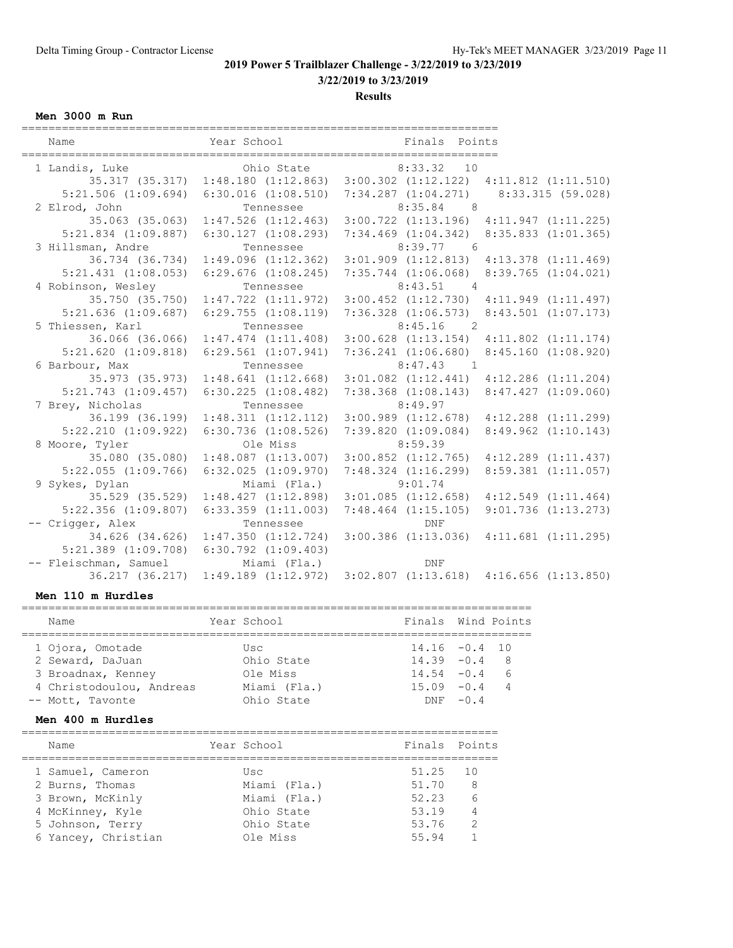**3/22/2019 to 3/23/2019**

**Results**

**Men 3000 m Run**

| Name                    | Year School                                     | Finals Points                                                                 |                         |
|-------------------------|-------------------------------------------------|-------------------------------------------------------------------------------|-------------------------|
| 1 Landis, Luke          | Ohio State                                      | $8:33.32$ 10                                                                  |                         |
|                         |                                                 | 35.317 (35.317) 1:48.180 (1:12.863) 3:00.302 (1:12.122) 4:11.812 (1:11.510)   |                         |
|                         |                                                 | 5:21.506 (1:09.694) 6:30.016 (1:08.510) 7:34.287 (1:04.271) 8:33.315 (59.028) |                         |
| 2 Elrod, John           | Tennessee                                       | $8:35.84$ 8                                                                   |                         |
|                         |                                                 | 35.063 (35.063) 1:47.526 (1:12.463) 3:00.722 (1:13.196) 4:11.947 (1:11.225)   |                         |
|                         | $5:21.834$ $(1:09.887)$ $6:30.127$ $(1:08.293)$ | $7:34.469$ $(1:04.342)$ $8:35.833$ $(1:01.365)$                               |                         |
| 3 Hillsman, Andre       | Tennessee                                       | $8:39.77$ 6                                                                   |                         |
|                         |                                                 | 36.734 (36.734) 1:49.096 (1:12.362) 3:01.909 (1:12.813) 4:13.378 (1:11.469)   |                         |
| $5:21.431$ $(1:08.053)$ | $6:29.676$ $(1:08.245)$                         | 7:35.744 (1:06.068)                                                           | 8:39.765(1:04.021)      |
| 4 Robinson, Wesley      | Tennessee                                       | $8:43.51$ 4                                                                   |                         |
|                         |                                                 | 35.750 (35.750) 1:47.722 (1:11.972) 3:00.452 (1:12.730) 4:11.949 (1:11.497)   |                         |
|                         | $5:21.636$ $(1:09.687)$ $6:29.755$ $(1:08.119)$ | $7:36.328$ $(1:06.573)$ $8:43.501$ $(1:07.173)$                               |                         |
| 5 Thiessen, Karl        | Tennessee                                       | 8:45.16<br>$\overline{2}$                                                     |                         |
|                         |                                                 | 36.066 (36.066) 1:47.474 (1:11.408) 3:00.628 (1:13.154) 4:11.802 (1:11.174)   |                         |
|                         | $5:21.620$ $(1:09.818)$ $6:29.561$ $(1:07.941)$ | $7:36.241$ $(1:06.680)$                                                       | $8:45.160$ $(1:08.920)$ |
| 6 Barbour, Max          | Tennessee                                       | $8:47.43$ 1                                                                   |                         |
|                         |                                                 | 35.973 (35.973) 1:48.641 (1:12.668) 3:01.082 (1:12.441) 4:12.286 (1:11.204)   |                         |
| $5:21.743$ $(1:09.457)$ | $6:30.225$ $(1:08.482)$                         | $7:38.368$ $(1:08.143)$                                                       | $8:47.427$ $(1:09.060)$ |
| 7 Brey, Nicholas        | Tennessee                                       | 8:49.97                                                                       |                         |
|                         | 36.199 (36.199) 1:48.311 (1:12.112)             | $3:00.989$ $(1:12.678)$                                                       | $4:12.288$ $(1:11.299)$ |
| $5:22.210$ $(1:09.922)$ | $6:30.736$ $(1:08.526)$                         | 7:39.820(1:09.084)                                                            | $8:49.962$ $(1:10.143)$ |
| 8 Moore, Tyler          | Ole Miss                                        | 8:59.39                                                                       |                         |
| 35.080 (35.080)         | $1:48.087$ $(1:13.007)$                         | $3:00.852$ $(1:12.765)$                                                       | $4:12.289$ $(1:11.437)$ |
| $5:22.055$ $(1:09.766)$ | $6:32.025$ $(1:09.970)$                         | $7:48.324$ $(1:16.299)$                                                       | $8:59.381$ $(1:11.057)$ |
| 9 Sykes, Dylan          | Miami (Fla.)                                    | 9:01.74                                                                       |                         |
|                         | 35.529 (35.529) 1:48.427 (1:12.898)             | $3:01.085$ $(1:12.658)$                                                       | 4:12.549(1:11.464)      |
| $5:22.356$ $(1:09.807)$ | $6:33.359$ $(1:11.003)$                         | $7:48.464$ $(1:15.105)$                                                       | $9:01.736$ $(1:13.273)$ |
| -- Crigger, Alex        | Tennessee                                       | <b>DNF</b>                                                                    |                         |
|                         | 34.626 (34.626) 1:47.350 (1:12.724)             | $3:00.386$ $(1:13.036)$                                                       | $4:11.681$ $(1:11.295)$ |
| $5:21.389$ $(1:09.708)$ | $6:30.792$ $(1:09.403)$                         |                                                                               |                         |
| -- Fleischman, Samuel   | Miami (Fla.)                                    | <b>DNF</b>                                                                    |                         |
| 36.217 (36.217)         |                                                 | $1:49.189$ $(1:12.972)$ $3:02.807$ $(1:13.618)$ $4:16.656$ $(1:13.850)$       |                         |

### **Men 110 m Hurdles**

| Name |                                                                                                            |              |             |                                                                                                               |
|------|------------------------------------------------------------------------------------------------------------|--------------|-------------|---------------------------------------------------------------------------------------------------------------|
|      |                                                                                                            |              |             |                                                                                                               |
|      |                                                                                                            | Usc          |             |                                                                                                               |
|      |                                                                                                            | Ohio State   |             |                                                                                                               |
|      |                                                                                                            | Ole Miss     |             |                                                                                                               |
|      |                                                                                                            | Miami (Fla.) |             |                                                                                                               |
|      |                                                                                                            | Ohio State   |             |                                                                                                               |
|      | 1 Ojora, Omotade<br>2 Seward, DaJuan<br>3 Broadnax, Kenney<br>4 Christodoulou, Andreas<br>-- Mott, Tavonte |              | Year School | Finals Wind Points<br>$14.16 - 0.4 10$<br>$14.39 - 0.4$ 8<br>$14.54 - 0.4$ 6<br>$15.09 - 0.4$ 4<br>$DNF -0.4$ |

### **Men 400 m Hurdles**

| Name                | Year School  | Finals Points |                |
|---------------------|--------------|---------------|----------------|
| 1 Samuel, Cameron   | Usc          | 51.25         | 10             |
| 2 Burns, Thomas     | Miami (Fla.) | 51.70         | - 8            |
| 3 Brown, McKinly    | Miami (Fla.) | 52.23         | - 6            |
| 4 McKinney, Kyle    | Ohio State   | 53.19         | $\overline{4}$ |
| 5 Johnson, Terry    | Ohio State   | 53.76         | $\overline{2}$ |
| 6 Yancey, Christian | Ole Miss     | 55.94         |                |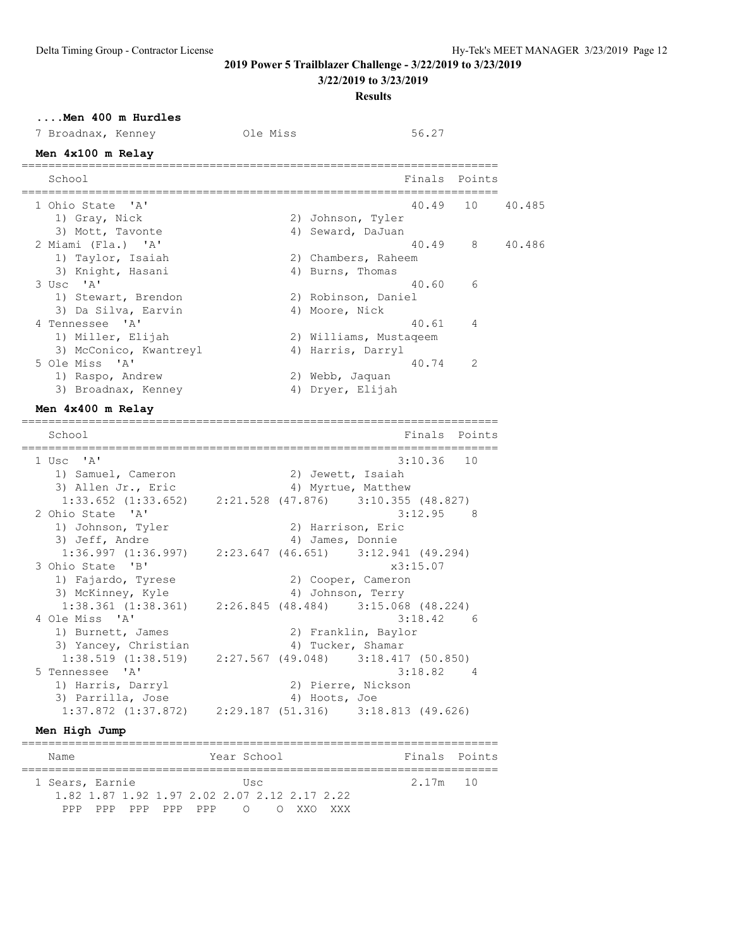**3/22/2019 to 3/23/2019**

**Results**

## **....Men 400 m Hurdles**

| 7 Broadnax, Kenney  | Ole Miss | 56.27               |                 |        |
|---------------------|----------|---------------------|-----------------|--------|
| Men 4x100 m Relay   |          |                     |                 |        |
| School              |          |                     | Finals Points   |        |
| 1 Ohio State 'A'    |          |                     | 40.49 10 40.485 |        |
| 1) Gray, Nick       |          | 2) Johnson, Tyler   |                 |        |
| 3) Mott, Tavonte    |          | 4) Seward, DaJuan   |                 |        |
| 2 Miami (Fla.) 'A'  |          |                     | 40.49 8         | 40.486 |
| 1) Taylor, Isaiah   |          | 2) Chambers, Raheem |                 |        |
| 3) Knight, Hasani   |          | 4) Burns, Thomas    |                 |        |
| $3$ Usc $'A'$       |          | 40.60 6             |                 |        |
| 1) Stewart, Brendon |          | 2) Robinson, Daniel |                 |        |

| 3 Usc 'A'              | 6<br>40.60             |
|------------------------|------------------------|
| 1) Stewart, Brendon    | 2) Robinson, Daniel    |
| 3) Da Silva, Earvin    | 4) Moore, Nick         |
| 4 Tennessee 'A'        | 40.61<br>4             |
| 1) Miller, Elijah      | 2) Williams, Mustageem |
| 3) McConico, Kwantreyl | 4) Harris, Darryl      |
| 5 Ole Miss 'A'         | -2<br>40.74            |
| 1) Raspo, Andrew       | 2) Webb, Jaquan        |
| 3) Broadnax, Kenney    | 4) Dryer, Elijah       |

#### **Men 4x400 m Relay**

======================================================================= Finals Points ======================================================================= 1 Usc 'A' 3:10.36 10 1) Samuel, Cameron 2) Jewett, Isaiah 3) Allen Jr., Eric and Allen Myrtue, Matthew 1:33.652 (1:33.652) 2:21.528 (47.876) 3:10.355 (48.827) 2 Ohio State 'A' 3:12.95 8 1) Johnson, Tyler 2) Harrison, Eric 3) Jeff, Andre 1988 (2008) 4 James, Donnie 1:36.997 (1:36.997) 2:23.647 (46.651) 3:12.941 (49.294) 3 Ohio State 'B' x3:15.07 1) Fajardo, Tyrese 2) Cooper, Cameron 3) McKinney, Kyle 1988 (4) Johnson, Terry 1:38.361 (1:38.361) 2:26.845 (48.484) 3:15.068 (48.224) 4 Ole Miss 'A' 3:18.42 6 1) Burnett, James (2) Franklin, Baylor 3) Yancey, Christian  $4$ ) Tucker, Shamar 1:38.519 (1:38.519) 2:27.567 (49.048) 3:18.417 (50.850) 5 Tennessee 'A' 3:18.82 4 1) Harris, Darryl 2) Pierre, Nickson 3) Parrilla, Jose 4) Hoots, Joe 1:37.872 (1:37.872) 2:29.187 (51.316) 3:18.813 (49.626)

### **Men High Jump**

|  | Name            |  |                     |  |  |  | Year School |                                              |  |          | Finals Points |
|--|-----------------|--|---------------------|--|--|--|-------------|----------------------------------------------|--|----------|---------------|
|  |                 |  |                     |  |  |  |             |                                              |  |          |               |
|  | 1 Sears, Earnie |  |                     |  |  |  | Usc         |                                              |  | 2.17m 10 |               |
|  |                 |  |                     |  |  |  |             | 1.82 1.87 1.92 1.97 2.02 2.07 2.12 2.17 2.22 |  |          |               |
|  |                 |  | PPP PPP PPP PPP PPP |  |  |  |             | OOXXOXXX                                     |  |          |               |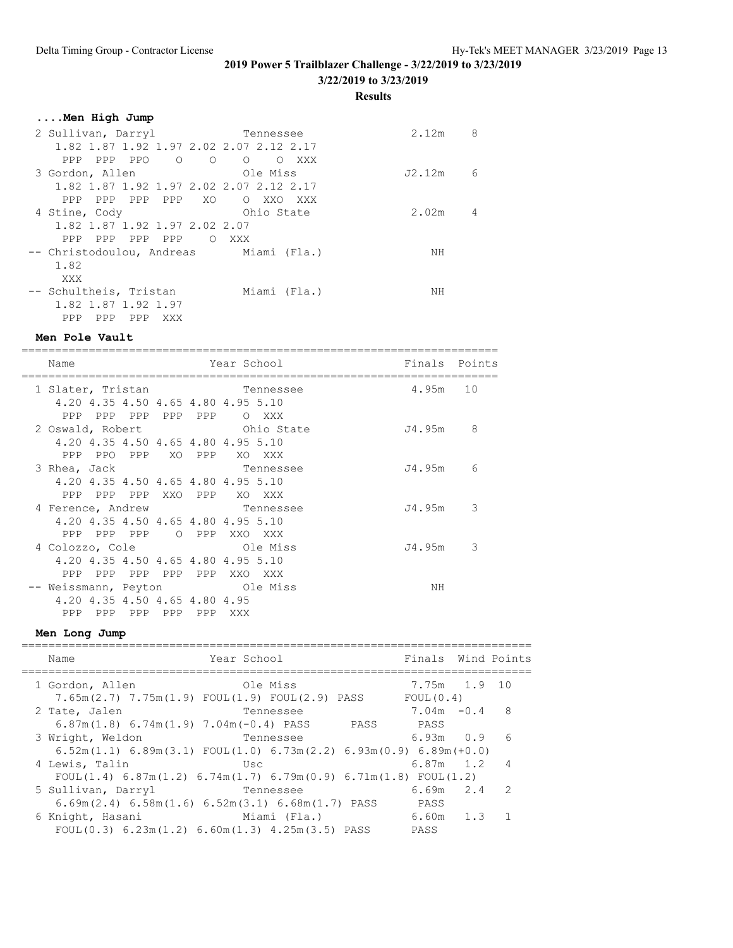**3/22/2019 to 3/23/2019**

**Results**

| Men High Jump                           |                              |        |   |
|-----------------------------------------|------------------------------|--------|---|
| 2 Sullivan, Darryl                      | Tennessee                    | 2.12m  | 8 |
| 1.82 1.87 1.92 1.97 2.02 2.07 2.12 2.17 |                              |        |   |
| $\Omega$<br>PPP PPO<br>PPP<br>$\Omega$  | $\Omega$<br>XXX X<br>$\circ$ |        |   |
| 3 Gordon, Allen                         | Ole Miss                     | J2.12m | 6 |
| 1.82 1.87 1.92 1.97 2.02 2.07 2.12 2.17 |                              |        |   |
| PPP PPP PPP XO<br>PPP                   | O XXO<br>XXX X               |        |   |
| 4 Stine, Cody                           | Ohio State                   | 2.02m  | 4 |
| 1,82 1,87 1,92 1,97 2,02 2,07           |                              |        |   |
| PPP PPP PPP<br>PPP.<br>$\Omega$         | XXX X                        |        |   |
| -- Christodoulou, Andreas Miami (Fla.)  |                              | NΗ     |   |
| 1.82                                    |                              |        |   |
| XXX                                     |                              |        |   |
| -- Schultheis, Tristan                  | Miami (Fla.)                 | NΗ     |   |
| 1.82 1.87 1.92 1.97                     |                              |        |   |
| PPP<br>PPP<br>PPP<br>XXX                |                              |        |   |

#### **Men Pole Vault**

======================================================================= Name  $Year School$  Finals Points ======================================================================= 1 Slater, Tristan Tennessee 4.95m 10 4.20 4.35 4.50 4.65 4.80 4.95 5.10 PPP PPP PPP PPP PPP O XXX 2 Oswald, Robert Ohio State J4.95m 8 4.20 4.35 4.50 4.65 4.80 4.95 5.10 PPP PPO PPP XO PPP XO XXX 3 Rhea, Jack Chromessee Chromessee J4.95m 6 4.20 4.35 4.50 4.65 4.80 4.95 5.10 PPP PPP PPP XXO PPP XO XXX 4 Ference, Andrew Tennessee J4.95m 3 4.20 4.35 4.50 4.65 4.80 4.95 5.10 PPP PPP PPP O PPP XXO XXX 4 Colozzo, Cole Ole Miss J4.95m 3 4.20 4.35 4.50 4.65 4.80 4.95 5.10 PPP PPP PPP PPP PPP XXO XXX -- Weissmann, Peyton Ole Miss NH 4.20 4.35 4.50 4.65 4.80 4.95 PPP PPP PPP PPP XXX

#### **Men Long Jump**

### ============================================================================ Name **Year School** Finals Wind Points ============================================================================ 1 Gordon, Allen Ole Miss 7.65m(2.7) 7.75m(1.9) FOUL(1.9) FOUL(2.9) PASS FOUL(0.4)<br>Tate, Jalen Tennessee 7.04m -0. 2 Tate, Jalen Tennessee 7.04m -0.4 8 6.87m(1.8) 6.74m(1.9) 7.04m(-0.4) PASS PASS PASS 3 Wright, Weldon Tennessee 6.93m 0.9 6 6.52m(1.1) 6.89m(3.1) FOUL(1.0) 6.73m(2.2) 6.93m(0.9) 6.89m(+0.0) 4 Lewis, Talin Usc 6.87m 1.2 4 FOUL $(1.4)$  6.87m $(1.2)$  6.74m $(1.7)$  6.79m $(0.9)$  6.71m $(1.8)$  FOUL $(1.2)$  5 Sullivan, Darryl Tennessee 6.69m 2.4 2 6.69m(2.4) 6.58m(1.6) 6.52m(3.1) 6.68m(1.7) PASS PASS 6 Knight, Hasani Miami (Fla.) 6.60m 1.3 1 FOUL(0.3) 6.23m(1.2) 6.60m(1.3) 4.25m(3.5) PASS PASS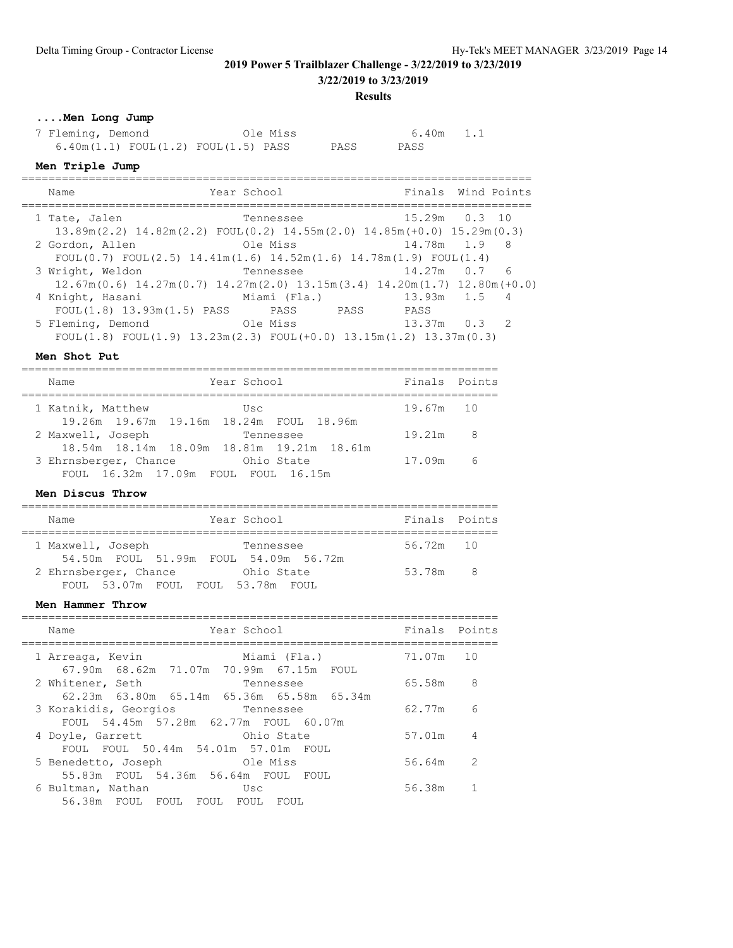**3/22/2019 to 3/23/2019**

**Results**

# **....Men Long Jump**

| 7 Fleming, Demond |                                             | Ole Miss |  |      | 6.40m 1.1 |  |
|-------------------|---------------------------------------------|----------|--|------|-----------|--|
|                   | $6.40m(1.1)$ FOUL $(1.2)$ FOUL $(1.5)$ PASS |          |  | PASS | PASS      |  |

#### **Men Triple Jump**

| Name                                                                                                                     | Year School               |                      | Finals Wind Points |
|--------------------------------------------------------------------------------------------------------------------------|---------------------------|----------------------|--------------------|
| 1 Tate, Jalen<br>$13.89$ m $(2.2)$ $14.82$ m $(2.2)$ FOUL $(0.2)$ $14.55$ m $(2.0)$ $14.85$ m $(+0.0)$ $15.29$ m $(0.3)$ | Tennessee in the material |                      | 15.29m  0.3  10    |
| 2 Gordon, Allen<br>FOUL(0.7) FOUL(2.5) $14.41m(1.6)$ $14.52m(1.6)$ $14.78m(1.9)$ FOUL(1.4)                               | Ole Miss                  |                      | 14.78m 1.9 8       |
| 3 Wright, Weldon<br>$12.67m(0.6)$ $14.27m(0.7)$ $14.27m(2.0)$ $13.15m(3.4)$ $14.20m(1.7)$ $12.80m(+0.0)$                 | Tennessee                 |                      | 14.27m 0.7 6       |
| 4 Knight, Hasani       Miami (Fla.)<br>FOUL(1.8) 13.93m(1.5) PASS PASS                                                   | PASS                      | 13.93m 1.5 4<br>PASS |                    |
| 5 Fleming, Demond<br>FOUL(1.8) FOUL(1.9) $13.23m(2.3)$ FOUL(+0.0) $13.15m(1.2)$ $13.37m(0.3)$                            | Ole Miss                  | 13.37m 0.3 2         |                    |

============================================================================

#### **Men Shot Put**

| Name                                      | Year School | Finals Points |                         |
|-------------------------------------------|-------------|---------------|-------------------------|
| 1 Katnik, Matthew                         | Usc         | 19.67m 10     |                         |
| 19.26m 19.67m 19.16m 18.24m FOUL 18.96m   |             |               |                         |
| 2 Maxwell, Joseph                         | Tennessee   | 19.21m        | $\overline{\mathbf{R}}$ |
| 18.54m 18.14m 18.09m 18.81m 19.21m 18.61m |             |               |                         |
| 3 Ehrnsberger, Chance                     | Ohio State  | 17.09m        | - 6                     |
| FOUL 16.32m 17.09m FOUL FOUL 16.15m       |             |               |                         |

#### **Men Discus Throw**

| Name                                                       | Year School | Finals Points |                         |  |  |
|------------------------------------------------------------|-------------|---------------|-------------------------|--|--|
| 1 Maxwell, Joseph<br>54.50m FOUL 51.99m FOUL 54.09m 56.72m | Tennessee   | 56.72m 10     |                         |  |  |
| 2 Ehrnsberger, Chance<br>FOUL 53.07m FOUL FOUL 53.78m FOUL | Ohio State  | 53.78m        | $\overline{\mathbf{R}}$ |  |  |

#### **Men Hammer Throw**

| Year School<br>Name                                                                    |                      | Finals Points |     |
|----------------------------------------------------------------------------------------|----------------------|---------------|-----|
| 1 Arreaga, Kevin<br>67.90m 68.62m 71.07m 70.99m 67.15m                                 | Miami (Fla.)<br>FOUL | 71.07m 10     |     |
| 2 Whitener, Seth                                                                       | Tennessee            | 65.58m        | - 8 |
| 62.23m 63.80m 65.14m 65.36m 65.58m 65.34m<br>3 Korakidis, Georgios<br><b>Tennessee</b> |                      | 62.77m        | 6   |
| FOUL 54.45m 57.28m 62.77m FOUL 60.07m<br>Marine Chio State<br>4 Doyle, Garrett         |                      | 57.01m        | 4   |
| FOUL FOUL 50.44m 54.01m 57.01m FOUL<br>5 Benedetto, Joseph Ole Miss                    |                      | 56.64m        | 2   |
| 55.83m FOUL 54.36m 56.64m FOUL FOUL<br>6 Bultman, Nathan                               | Usc                  | 56.38m        |     |
| 56.38m FOUL FOUL FOUL FOUL                                                             | FOUL                 |               |     |